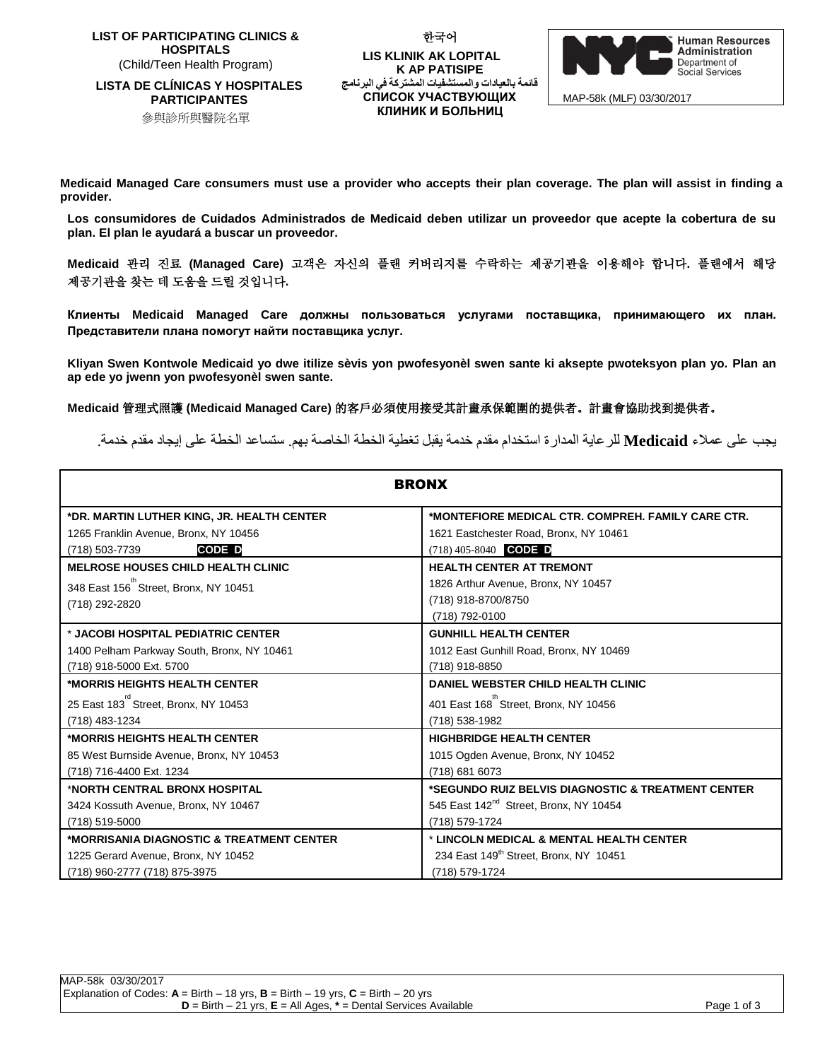**LIST OF PARTICIPATING CLINICS & HOSPITALS**  (Child/Teen Health Program)

**LISTA DE CLÍNICAS Y HOSPITALES PARTICIPANTES** 參與診所與醫院名單

**LIS KLINIK AK LOPITAL K AP PATISIPE قائمة بالعيادات والمستشفيات المشتركة في البرنامج СПИСОК УЧАСТВУЮЩИХ КЛИНИК И БОЛЬНИЦ**

한국어



MAP-58k (MLF) 03/30/2017

**Medicaid Managed Care consumers must use a provider who accepts their plan coverage. The plan will assist in finding a provider.**

**Los consumidores de Cuidados Administrados de Medicaid deben utilizar un proveedor que acepte la cobertura de su plan. El plan le ayudará a buscar un proveedor.** 

**Medicaid** 관리 진료 **(Managed Care)** 고객은 자신의 플랜 커버리지를 수락하는 제공기관을 이용해야 합니다**.** 플랜에서 해당 제공기관을 찾는 데 도움을 드릴 것입니다**.**

**Клиенты Medicaid Managed Care должны пользоваться услугами поставщика, принимающего их план. Представители плана помогут найти поставщика услуг.** 

**Kliyan Swen Kontwole Medicaid yo dwe itilize sèvis yon pwofesyonèl swen sante ki aksepte pwoteksyon plan yo. Plan an ap ede yo jwenn yon pwofesyonèl swen sante.**

**Medicaid** 管理式照護 **(Medicaid Managed Care)** 的客戶必須使用接受其計畫承保範圍的提供者。計畫會協助找到提供者。

يجب على عمالء **Medicaid** للرعاية المدارة استخدام مقدم خدمة يقبل تغطية الخطة الخاصة بهم. ستساعد الخطة على إيجاد مقدم خدمة.

| <b>BRONX</b>                               |                                                    |
|--------------------------------------------|----------------------------------------------------|
| *DR. MARTIN LUTHER KING, JR. HEALTH CENTER | *MONTEFIORE MEDICAL CTR. COMPREH. FAMILY CARE CTR. |
| 1265 Franklin Avenue, Bronx, NY 10456      | 1621 Eastchester Road, Bronx, NY 10461             |
| <b>CODE D</b><br>(718) 503-7739            | $(718)$ 405-8040 CODE D                            |
| <b>MELROSE HOUSES CHILD HEALTH CLINIC</b>  | <b>HEALTH CENTER AT TREMONT</b>                    |
| 348 East 156 Street, Bronx, NY 10451       | 1826 Arthur Avenue, Bronx, NY 10457                |
| (718) 292-2820                             | (718) 918-8700/8750                                |
|                                            | (718) 792-0100                                     |
| * JACOBI HOSPITAL PEDIATRIC CENTER         | <b>GUNHILL HEALTH CENTER</b>                       |
| 1400 Pelham Parkway South, Bronx, NY 10461 | 1012 East Gunhill Road, Bronx, NY 10469            |
| (718) 918-5000 Ext. 5700                   | (718) 918-8850                                     |
| *MORRIS HEIGHTS HEALTH CENTER              | DANIEL WEBSTER CHILD HEALTH CLINIC                 |
| 25 East 183 Street, Bronx, NY 10453        | 401 East 168 Street, Bronx, NY 10456               |
| (718) 483-1234                             | (718) 538-1982                                     |
| *MORRIS HEIGHTS HEALTH CENTER_             | <b>HIGHBRIDGE HEALTH CENTER</b>                    |
| 85 West Burnside Avenue, Bronx, NY 10453   | 1015 Ogden Avenue, Bronx, NY 10452                 |
| (718) 716-4400 Ext. 1234                   | (718) 681 6073                                     |
| *NORTH CENTRAL BRONX HOSPITAL              | *SEGUNDO RUIZ BELVIS DIAGNOSTIC & TREATMENT CENTER |
| 3424 Kossuth Avenue, Bronx, NY 10467       | 545 East 142 <sup>nd</sup> Street, Bronx, NY 10454 |
| (718) 519-5000                             | (718) 579-1724                                     |
| *MORRISANIA DIAGNOSTIC & TREATMENT CENTER  | * LINCOLN MEDICAL & MENTAL HEALTH CENTER           |
| 1225 Gerard Avenue, Bronx, NY 10452        | 234 East 149 <sup>th</sup> Street, Bronx, NY 10451 |
| (718) 960-2777 (718) 875-3975              | (718) 579-1724                                     |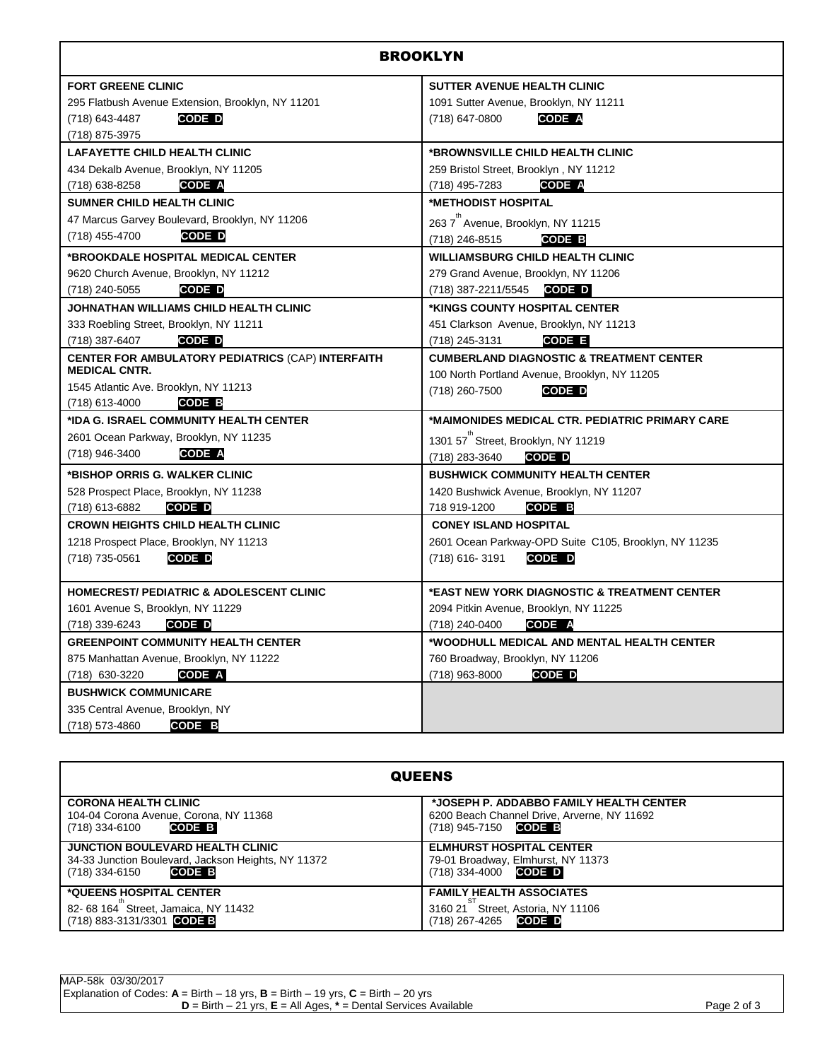| <b>BROOKLYN</b>                                     |                                                       |
|-----------------------------------------------------|-------------------------------------------------------|
| <b>FORT GREENE CLINIC</b>                           | SUTTER AVENUE HEALTH CLINIC                           |
| 295 Flatbush Avenue Extension, Brooklyn, NY 11201   | 1091 Sutter Avenue, Brooklyn, NY 11211                |
| (718) 643-4487<br>CODE D                            | (718) 647-0800<br><b>CODE A</b>                       |
| (718) 875-3975                                      |                                                       |
| <b>LAFAYETTE CHILD HEALTH CLINIC</b>                | *BROWNSVILLE CHILD HEALTH CLINIC                      |
| 434 Dekalb Avenue, Brooklyn, NY 11205               | 259 Bristol Street, Brooklyn, NY 11212                |
| <b>CODE A</b><br>(718) 638-8258                     | (718) 495-7283<br><b>CODE A</b>                       |
| <b>SUMNER CHILD HEALTH CLINIC</b>                   | *METHODIST HOSPITAL                                   |
| 47 Marcus Garvey Boulevard, Brooklyn, NY 11206      | 263 7 <sup>th</sup> Avenue, Brooklyn, NY 11215        |
| (718) 455-4700<br>CODE D                            | (718) 246-8515<br>CODE B                              |
| *BROOKDALE HOSPITAL MEDICAL CENTER                  | <b>WILLIAMSBURG CHILD HEALTH CLINIC</b>               |
| 9620 Church Avenue, Brooklyn, NY 11212              | 279 Grand Avenue, Brooklyn, NY 11206                  |
| (718) 240-5055<br><b>CODE D</b>                     | $(718)$ 387-2211/5545 CODE D                          |
| JOHNATHAN WILLIAMS CHILD HEALTH CLINIC              | *KINGS COUNTY HOSPITAL CENTER                         |
| 333 Roebling Street, Brooklyn, NY 11211             | 451 Clarkson Avenue, Brooklyn, NY 11213               |
| (718) 387-6407<br><b>CODE D</b>                     | (718) 245-3131<br>CODE E                              |
| CENTER FOR AMBULATORY PEDIATRICS (CAP) INTERFAITH   | <b>CUMBERLAND DIAGNOSTIC &amp; TREATMENT CENTER</b>   |
| <b>MEDICAL CNTR.</b>                                | 100 North Portland Avenue, Brooklyn, NY 11205         |
| 1545 Atlantic Ave. Brooklyn, NY 11213               | (718) 260-7500<br>CODE D                              |
| CODE B<br>(718) 613-4000                            |                                                       |
| *IDA G. ISRAEL COMMUNITY HEALTH CENTER              | *MAIMONIDES MEDICAL CTR. PEDIATRIC PRIMARY CARE       |
| 2601 Ocean Parkway, Brooklyn, NY 11235              | 1301 57 Street, Brooklyn, NY 11219                    |
| <b>CODE A</b><br>(718) 946-3400                     | (718) 283-3640<br><b>CODE D</b>                       |
| *BISHOP ORRIS G. WALKER CLINIC                      | <b>BUSHWICK COMMUNITY HEALTH CENTER</b>               |
| 528 Prospect Place, Brooklyn, NY 11238              | 1420 Bushwick Avenue, Brooklyn, NY 11207              |
| CODE D<br>(718) 613-6882                            | 718 919-1200<br>CODE B                                |
| <b>CROWN HEIGHTS CHILD HEALTH CLINIC</b>            | <b>CONEY ISLAND HOSPITAL</b>                          |
| 1218 Prospect Place, Brooklyn, NY 11213             | 2601 Ocean Parkway-OPD Suite C105, Brooklyn, NY 11235 |
| (718) 735-0561<br>CODE D                            | CODE D<br>(718) 616-3191                              |
|                                                     |                                                       |
| <b>HOMECREST/ PEDIATRIC &amp; ADOLESCENT CLINIC</b> | *EAST NEW YORK DIAGNOSTIC & TREATMENT CENTER          |
| 1601 Avenue S, Brooklyn, NY 11229                   | 2094 Pitkin Avenue, Brooklyn, NY 11225                |
| (718) 339-6243<br>CODE D                            | (718) 240-0400<br>CODE A                              |
| <b>GREENPOINT COMMUNITY HEALTH CENTER</b>           | *WOODHULL MEDICAL AND MENTAL HEALTH CENTER            |
| 875 Manhattan Avenue, Brooklyn, NY 11222            | 760 Broadway, Brooklyn, NY 11206                      |
| (718) 630-3220<br>CODE A                            | (718) 963-8000<br>CODE D                              |
| <b>BUSHWICK COMMUNICARE</b>                         |                                                       |
| 335 Central Avenue, Brooklyn, NY                    |                                                       |
| (718) 573-4860<br>CODE B                            |                                                       |

| <b>QUEENS</b>                                                                                                              |                                                                                                                   |
|----------------------------------------------------------------------------------------------------------------------------|-------------------------------------------------------------------------------------------------------------------|
| <b>CORONA HEALTH CLINIC</b><br>104-04 Corona Avenue, Corona, NY 11368<br><b>CODE B</b><br>(718) 334-6100                   | *JOSEPH P. ADDABBO FAMILY HEALTH CENTER<br>6200 Beach Channel Drive, Arverne, NY 11692<br>$(718)$ 945-7150 CODE B |
| JUNCTION BOULEVARD HEALTH CLINIC<br>34-33 Junction Boulevard, Jackson Heights, NY 11372<br><b>CODE B</b><br>(718) 334-6150 | <b>ELMHURST HOSPITAL CENTER</b><br>79-01 Broadway, Elmhurst, NY 11373<br>$(718)$ 334-4000 CODE D                  |
| *QUEENS HOSPITAL CENTER<br>82-68 164 Street, Jamaica, NY 11432<br>(718) 883-3131/3301 CODE B                               | <b>FAMILY HEALTH ASSOCIATES</b><br>3160 21 Street, Astoria, NY 11106<br><b>CODE D</b><br>(718) 267-4265           |